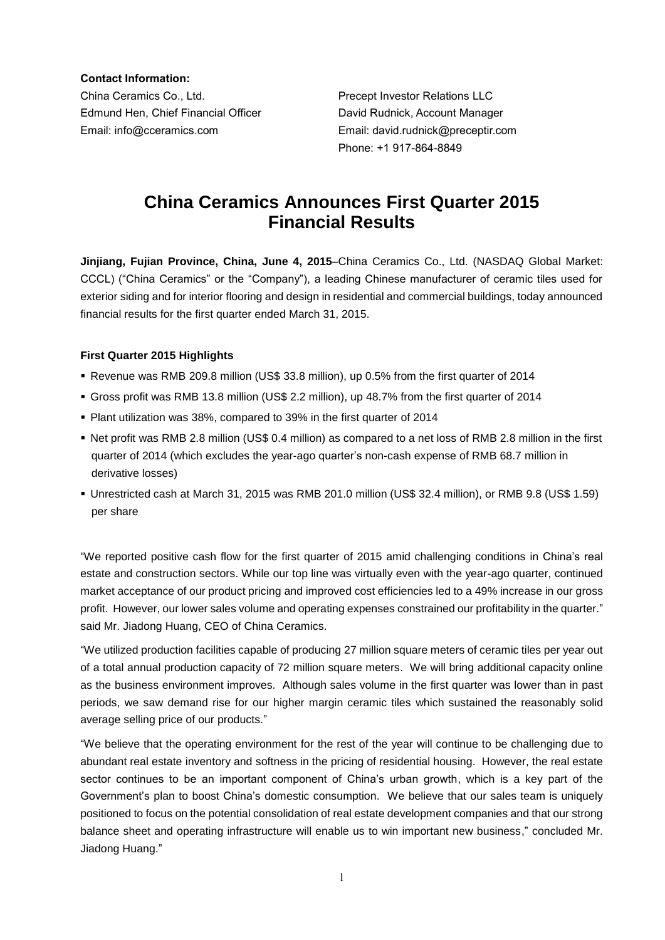**Contact Information:**

China Ceramics Co., Ltd. Precept Investor Relations LLC Edmund Hen, Chief Financial Officer David Rudnick, Account Manager Email: info@cceramics.com Email: david.rudnick@preceptir.com

Phone: +1 917-864-8849

# **China Ceramics Announces First Quarter 2015 Financial Results**

**Jinjiang, Fujian Province, China, June 4, 2015**–China Ceramics Co., Ltd. (NASDAQ Global Market: CCCL) ("China Ceramics" or the "Company"), a leading Chinese manufacturer of ceramic tiles used for exterior siding and for interior flooring and design in residential and commercial buildings, today announced financial results for the first quarter ended March 31, 2015.

## **First Quarter 2015 Highlights**

- Revenue was RMB 209.8 million (US\$ 33.8 million), up 0.5% from the first quarter of 2014
- Gross profit was RMB 13.8 million (US\$ 2.2 million), up 48.7% from the first quarter of 2014
- Plant utilization was 38%, compared to 39% in the first quarter of 2014
- Net profit was RMB 2.8 million (US\$ 0.4 million) as compared to a net loss of RMB 2.8 million in the first quarter of 2014 (which excludes the year-ago quarter's non-cash expense of RMB 68.7 million in derivative losses)
- Unrestricted cash at March 31, 2015 was RMB 201.0 million (US\$ 32.4 million), or RMB 9.8 (US\$ 1.59) per share

"We reported positive cash flow for the first quarter of 2015 amid challenging conditions in China's real estate and construction sectors. While our top line was virtually even with the year-ago quarter, continued market acceptance of our product pricing and improved cost efficiencies led to a 49% increase in our gross profit. However, our lower sales volume and operating expenses constrained our profitability in the quarter." said Mr. Jiadong Huang, CEO of China Ceramics.

"We utilized production facilities capable of producing 27 million square meters of ceramic tiles per year out of a total annual production capacity of 72 million square meters. We will bring additional capacity online as the business environment improves. Although sales volume in the first quarter was lower than in past periods, we saw demand rise for our higher margin ceramic tiles which sustained the reasonably solid average selling price of our products."

"We believe that the operating environment for the rest of the year will continue to be challenging due to abundant real estate inventory and softness in the pricing of residential housing. However, the real estate sector continues to be an important component of China's urban growth, which is a key part of the Government's plan to boost China's domestic consumption. We believe that our sales team is uniquely positioned to focus on the potential consolidation of real estate development companies and that our strong balance sheet and operating infrastructure will enable us to win important new business," concluded Mr. Jiadong Huang."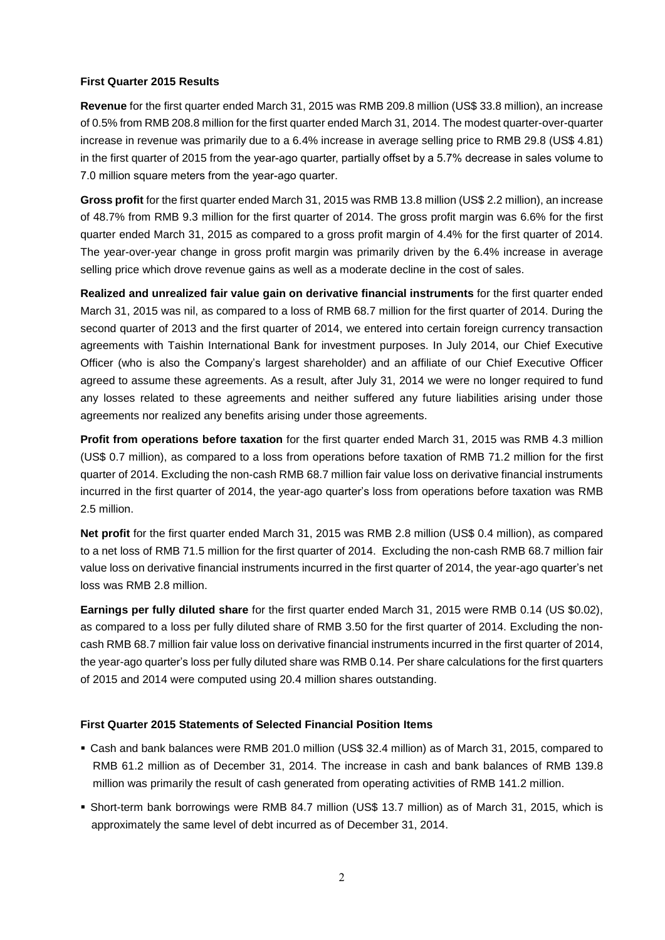#### **First Quarter 2015 Results**

**Revenue** for the first quarter ended March 31, 2015 was RMB 209.8 million (US\$ 33.8 million), an increase of 0.5% from RMB 208.8 million for the first quarter ended March 31, 2014. The modest quarter-over-quarter increase in revenue was primarily due to a 6.4% increase in average selling price to RMB 29.8 (US\$ 4.81) in the first quarter of 2015 from the year-ago quarter, partially offset by a 5.7% decrease in sales volume to 7.0 million square meters from the year-ago quarter.

**Gross profit** for the first quarter ended March 31, 2015 was RMB 13.8 million (US\$ 2.2 million), an increase of 48.7% from RMB 9.3 million for the first quarter of 2014. The gross profit margin was 6.6% for the first quarter ended March 31, 2015 as compared to a gross profit margin of 4.4% for the first quarter of 2014. The year-over-year change in gross profit margin was primarily driven by the 6.4% increase in average selling price which drove revenue gains as well as a moderate decline in the cost of sales.

**Realized and unrealized fair value gain on derivative financial instruments** for the first quarter ended March 31, 2015 was nil, as compared to a loss of RMB 68.7 million for the first quarter of 2014. During the second quarter of 2013 and the first quarter of 2014, we entered into certain foreign currency transaction agreements with Taishin International Bank for investment purposes. In July 2014, our Chief Executive Officer (who is also the Company's largest shareholder) and an affiliate of our Chief Executive Officer agreed to assume these agreements. As a result, after July 31, 2014 we were no longer required to fund any losses related to these agreements and neither suffered any future liabilities arising under those agreements nor realized any benefits arising under those agreements.

**Profit from operations before taxation** for the first quarter ended March 31, 2015 was RMB 4.3 million (US\$ 0.7 million), as compared to a loss from operations before taxation of RMB 71.2 million for the first quarter of 2014. Excluding the non-cash RMB 68.7 million fair value loss on derivative financial instruments incurred in the first quarter of 2014, the year-ago quarter's loss from operations before taxation was RMB 2.5 million.

**Net profit** for the first quarter ended March 31, 2015 was RMB 2.8 million (US\$ 0.4 million), as compared to a net loss of RMB 71.5 million for the first quarter of 2014. Excluding the non-cash RMB 68.7 million fair value loss on derivative financial instruments incurred in the first quarter of 2014, the year-ago quarter's net loss was RMB 2.8 million.

**Earnings per fully diluted share** for the first quarter ended March 31, 2015 were RMB 0.14 (US \$0.02), as compared to a loss per fully diluted share of RMB 3.50 for the first quarter of 2014. Excluding the noncash RMB 68.7 million fair value loss on derivative financial instruments incurred in the first quarter of 2014, the year-ago quarter's loss per fully diluted share was RMB 0.14. Per share calculations for the first quarters of 2015 and 2014 were computed using 20.4 million shares outstanding.

#### **First Quarter 2015 Statements of Selected Financial Position Items**

- Cash and bank balances were RMB 201.0 million (US\$ 32.4 million) as of March 31, 2015, compared to RMB 61.2 million as of December 31, 2014. The increase in cash and bank balances of RMB 139.8 million was primarily the result of cash generated from operating activities of RMB 141.2 million.
- Short-term bank borrowings were RMB 84.7 million (US\$ 13.7 million) as of March 31, 2015, which is approximately the same level of debt incurred as of December 31, 2014.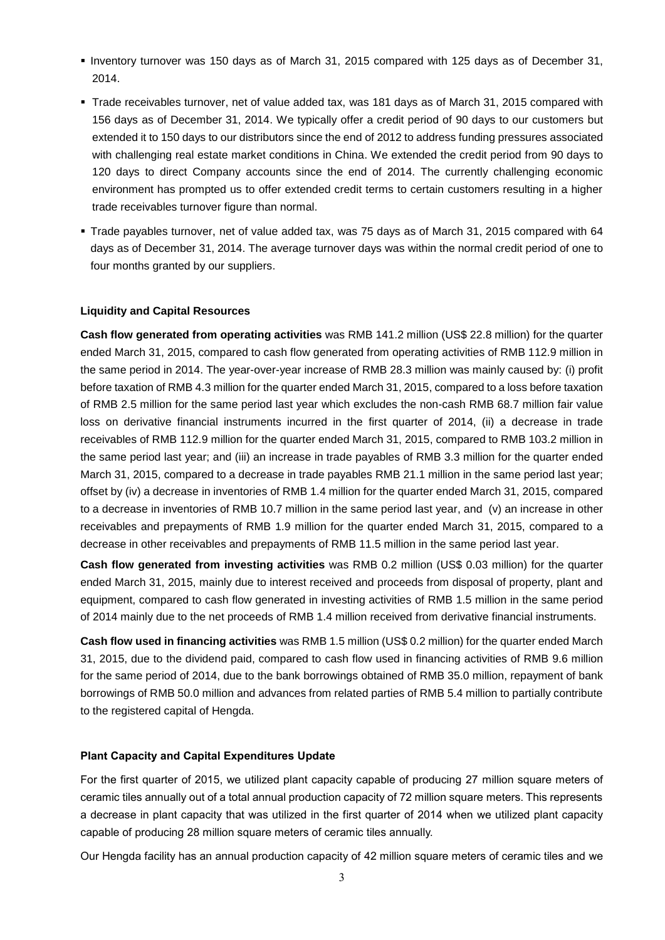- Inventory turnover was 150 days as of March 31, 2015 compared with 125 days as of December 31, 2014.
- Trade receivables turnover, net of value added tax, was 181 days as of March 31, 2015 compared with 156 days as of December 31, 2014. We typically offer a credit period of 90 days to our customers but extended it to 150 days to our distributors since the end of 2012 to address funding pressures associated with challenging real estate market conditions in China. We extended the credit period from 90 days to 120 days to direct Company accounts since the end of 2014. The currently challenging economic environment has prompted us to offer extended credit terms to certain customers resulting in a higher trade receivables turnover figure than normal.
- Trade payables turnover, net of value added tax, was 75 days as of March 31, 2015 compared with 64 days as of December 31, 2014. The average turnover days was within the normal credit period of one to four months granted by our suppliers.

#### **Liquidity and Capital Resources**

**Cash flow generated from operating activities** was RMB 141.2 million (US\$ 22.8 million) for the quarter ended March 31, 2015, compared to cash flow generated from operating activities of RMB 112.9 million in the same period in 2014. The year-over-year increase of RMB 28.3 million was mainly caused by: (i) profit before taxation of RMB 4.3 million for the quarter ended March 31, 2015, compared to a loss before taxation of RMB 2.5 million for the same period last year which excludes the non-cash RMB 68.7 million fair value loss on derivative financial instruments incurred in the first quarter of 2014, (ii) a decrease in trade receivables of RMB 112.9 million for the quarter ended March 31, 2015, compared to RMB 103.2 million in the same period last year; and (iii) an increase in trade payables of RMB 3.3 million for the quarter ended March 31, 2015, compared to a decrease in trade payables RMB 21.1 million in the same period last year; offset by (iv) a decrease in inventories of RMB 1.4 million for the quarter ended March 31, 2015, compared to a decrease in inventories of RMB 10.7 million in the same period last year, and (v) an increase in other receivables and prepayments of RMB 1.9 million for the quarter ended March 31, 2015, compared to a decrease in other receivables and prepayments of RMB 11.5 million in the same period last year.

**Cash flow generated from investing activities** was RMB 0.2 million (US\$ 0.03 million) for the quarter ended March 31, 2015, mainly due to interest received and proceeds from disposal of property, plant and equipment, compared to cash flow generated in investing activities of RMB 1.5 million in the same period of 2014 mainly due to the net proceeds of RMB 1.4 million received from derivative financial instruments.

**Cash flow used in financing activities** was RMB 1.5 million (US\$ 0.2 million) for the quarter ended March 31, 2015, due to the dividend paid, compared to cash flow used in financing activities of RMB 9.6 million for the same period of 2014, due to the bank borrowings obtained of RMB 35.0 million, repayment of bank borrowings of RMB 50.0 million and advances from related parties of RMB 5.4 million to partially contribute to the registered capital of Hengda.

#### **Plant Capacity and Capital Expenditures Update**

For the first quarter of 2015, we utilized plant capacity capable of producing 27 million square meters of ceramic tiles annually out of a total annual production capacity of 72 million square meters. This represents a decrease in plant capacity that was utilized in the first quarter of 2014 when we utilized plant capacity capable of producing 28 million square meters of ceramic tiles annually.

Our Hengda facility has an annual production capacity of 42 million square meters of ceramic tiles and we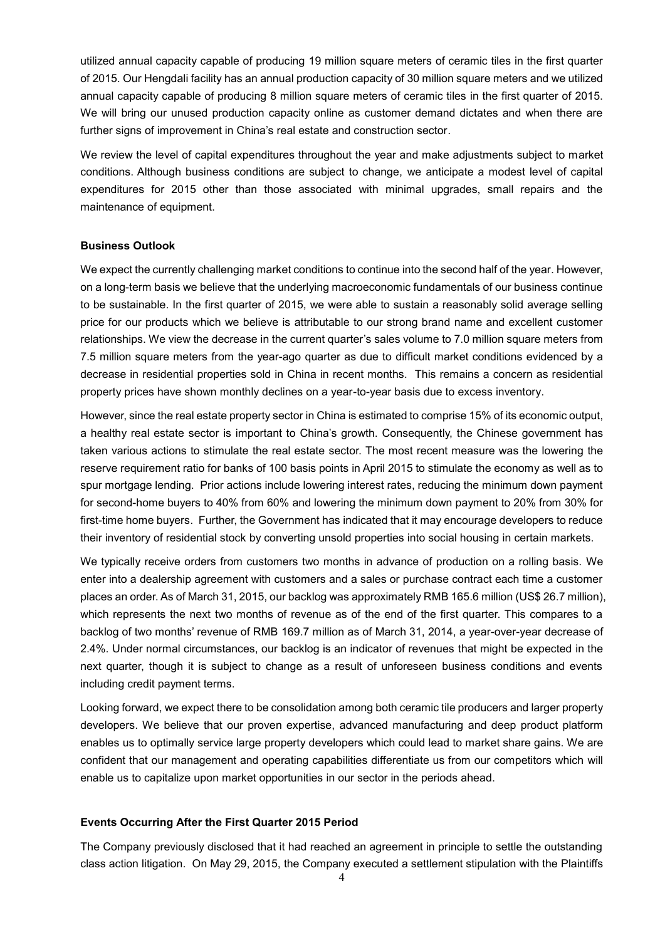utilized annual capacity capable of producing 19 million square meters of ceramic tiles in the first quarter of 2015. Our Hengdali facility has an annual production capacity of 30 million square meters and we utilized annual capacity capable of producing 8 million square meters of ceramic tiles in the first quarter of 2015. We will bring our unused production capacity online as customer demand dictates and when there are further signs of improvement in China's real estate and construction sector.

We review the level of capital expenditures throughout the year and make adjustments subject to market conditions. Although business conditions are subject to change, we anticipate a modest level of capital expenditures for 2015 other than those associated with minimal upgrades, small repairs and the maintenance of equipment.

#### **Business Outlook**

We expect the currently challenging market conditions to continue into the second half of the year. However, on a long-term basis we believe that the underlying macroeconomic fundamentals of our business continue to be sustainable. In the first quarter of 2015, we were able to sustain a reasonably solid average selling price for our products which we believe is attributable to our strong brand name and excellent customer relationships. We view the decrease in the current quarter's sales volume to 7.0 million square meters from 7.5 million square meters from the year-ago quarter as due to difficult market conditions evidenced by a decrease in residential properties sold in China in recent months. This remains a concern as residential property prices have shown monthly declines on a year-to-year basis due to excess inventory.

However, since the real estate property sector in China is estimated to comprise 15% of its economic output, a healthy real estate sector is important to China's growth. Consequently, the Chinese government has taken various actions to stimulate the real estate sector. The most recent measure was the lowering the reserve requirement ratio for banks of 100 basis points in April 2015 to stimulate the economy as well as to spur mortgage lending. Prior actions include lowering interest rates, reducing the minimum down payment for second-home buyers to 40% from 60% and lowering the minimum down payment to 20% from 30% for first-time home buyers. Further, the Government has indicated that it may encourage developers to reduce their inventory of residential stock by converting unsold properties into social housing in certain markets.

We typically receive orders from customers two months in advance of production on a rolling basis. We enter into a dealership agreement with customers and a sales or purchase contract each time a customer places an order. As of March 31, 2015, our backlog was approximately RMB 165.6 million (US\$ 26.7 million), which represents the next two months of revenue as of the end of the first quarter. This compares to a backlog of two months' revenue of RMB 169.7 million as of March 31, 2014, a year-over-year decrease of 2.4%. Under normal circumstances, our backlog is an indicator of revenues that might be expected in the next quarter, though it is subject to change as a result of unforeseen business conditions and events including credit payment terms.

Looking forward, we expect there to be consolidation among both ceramic tile producers and larger property developers. We believe that our proven expertise, advanced manufacturing and deep product platform enables us to optimally service large property developers which could lead to market share gains. We are confident that our management and operating capabilities differentiate us from our competitors which will enable us to capitalize upon market opportunities in our sector in the periods ahead.

## **Events Occurring After the First Quarter 2015 Period**

The Company previously disclosed that it had reached an agreement in principle to settle the outstanding class action litigation. On May 29, 2015, the Company executed a settlement stipulation with the Plaintiffs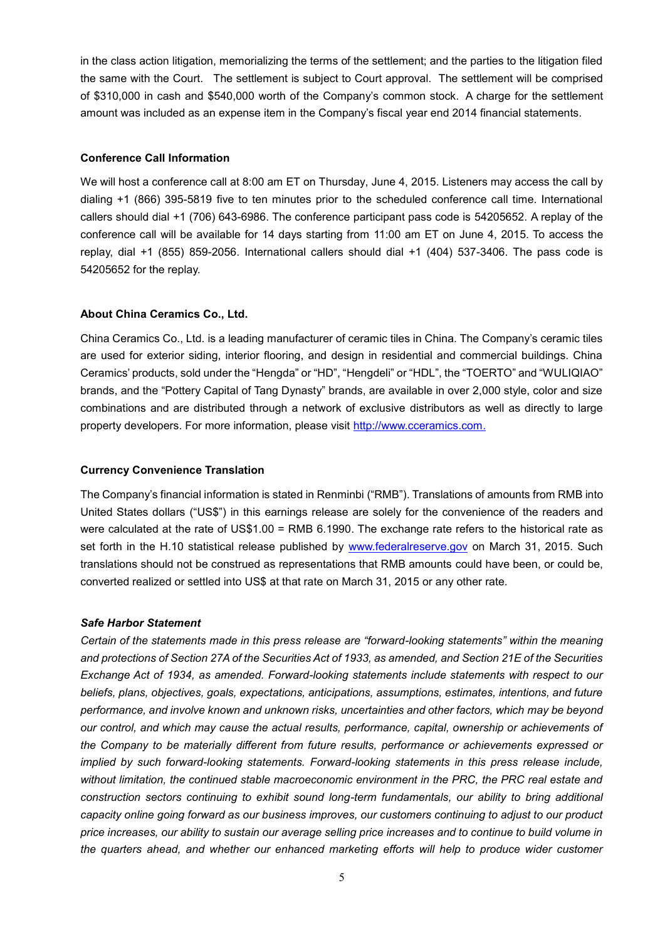in the class action litigation, memorializing the terms of the settlement; and the parties to the litigation filed the same with the Court. The settlement is subject to Court approval. The settlement will be comprised of \$310,000 in cash and \$540,000 worth of the Company's common stock. A charge for the settlement amount was included as an expense item in the Company's fiscal year end 2014 financial statements.

#### **Conference Call Information**

We will host a conference call at 8:00 am ET on Thursday, June 4, 2015. Listeners may access the call by dialing +1 (866) 395-5819 five to ten minutes prior to the scheduled conference call time. International callers should dial +1 (706) 643-6986. The conference participant pass code is 54205652. A replay of the conference call will be available for 14 days starting from 11:00 am ET on June 4, 2015. To access the replay, dial +1 (855) 859-2056. International callers should dial +1 (404) 537-3406. The pass code is 54205652 for the replay.

#### **About China Ceramics Co., Ltd.**

China Ceramics Co., Ltd. is a leading manufacturer of ceramic tiles in China. The Company's ceramic tiles are used for exterior siding, interior flooring, and design in residential and commercial buildings. China Ceramics' products, sold under the "Hengda" or "HD", "Hengdeli" or "HDL", the "TOERTO" and "WULIQIAO" brands, and the "Pottery Capital of Tang Dynasty" brands, are available in over 2,000 style, color and size combinations and are distributed through a network of exclusive distributors as well as directly to large property developers. For more information, please visit [http://www.cceramics.com.](http://www.cceramics.com/)

#### **Currency Convenience Translation**

The Company's financial information is stated in Renminbi ("RMB"). Translations of amounts from RMB into United States dollars ("US\$") in this earnings release are solely for the convenience of the readers and were calculated at the rate of US\$1.00 = RMB 6.1990. The exchange rate refers to the historical rate as set forth in the H.10 statistical release published by [www.federalreserve.gov](http://www.federalreserve.gov/) on March 31, 2015. Such translations should not be construed as representations that RMB amounts could have been, or could be, converted realized or settled into US\$ at that rate on March 31, 2015 or any other rate.

#### *Safe Harbor Statement*

*Certain of the statements made in this press release are "forward-looking statements" within the meaning and protections of Section 27A of the Securities Act of 1933, as amended, and Section 21E of the Securities Exchange Act of 1934, as amended. Forward-looking statements include statements with respect to our beliefs, plans, objectives, goals, expectations, anticipations, assumptions, estimates, intentions, and future performance, and involve known and unknown risks, uncertainties and other factors, which may be beyond our control, and which may cause the actual results, performance, capital, ownership or achievements of the Company to be materially different from future results, performance or achievements expressed or implied by such forward-looking statements. Forward-looking statements in this press release include,*  without limitation, the continued stable macroeconomic environment in the PRC, the PRC real estate and *construction sectors continuing to exhibit sound long-term fundamentals, our ability to bring additional capacity online going forward as our business improves, our customers continuing to adjust to our product price increases, our ability to sustain our average selling price increases and to continue to build volume in the quarters ahead, and whether our enhanced marketing efforts will help to produce wider customer*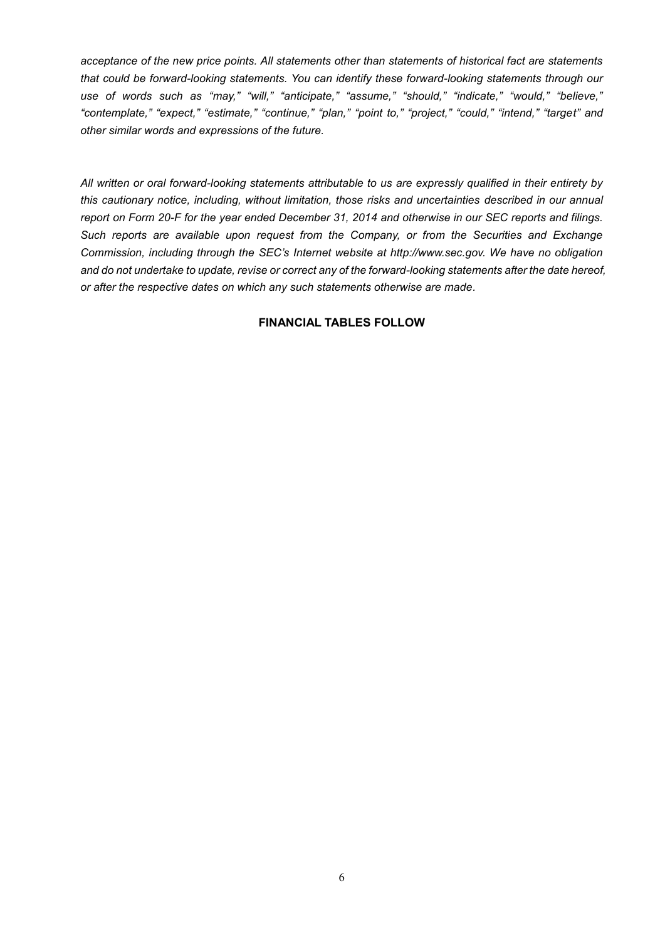*acceptance of the new price points. All statements other than statements of historical fact are statements that could be forward-looking statements. You can identify these forward-looking statements through our use of words such as "may," "will," "anticipate," "assume," "should," "indicate," "would," "believe," "contemplate," "expect," "estimate," "continue," "plan," "point to," "project," "could," "intend," "target" and other similar words and expressions of the future.* 

*All written or oral forward-looking statements attributable to us are expressly qualified in their entirety by this cautionary notice, including, without limitation, those risks and uncertainties described in our annual report on Form 20-F for the year ended December 31, 2014 and otherwise in our SEC reports and filings. Such reports are available upon request from the Company, or from the Securities and Exchange Commission, including through the SEC's Internet website at http://www.sec.gov. We have no obligation and do not undertake to update, revise or correct any of the forward-looking statements after the date hereof, or after the respective dates on which any such statements otherwise are made.*

#### **FINANCIAL TABLES FOLLOW**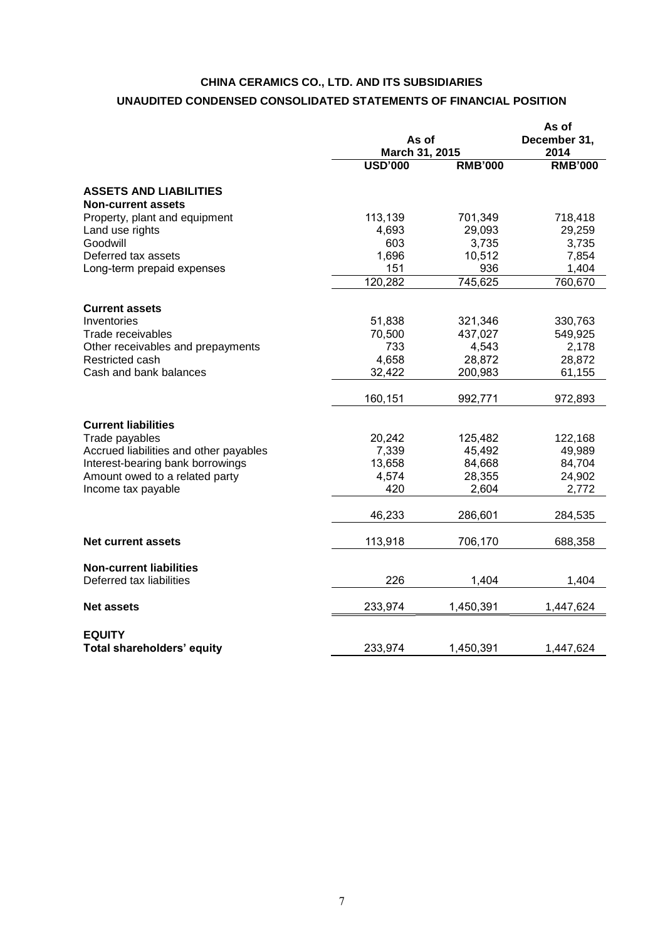## **CHINA CERAMICS CO., LTD. AND ITS SUBSIDIARIES UNAUDITED CONDENSED CONSOLIDATED STATEMENTS OF FINANCIAL POSITION**

|                                                            |                | As of<br>March 31, 2015 |                |
|------------------------------------------------------------|----------------|-------------------------|----------------|
|                                                            | <b>USD'000</b> | <b>RMB'000</b>          | <b>RMB'000</b> |
| <b>ASSETS AND LIABILITIES</b><br><b>Non-current assets</b> |                |                         |                |
| Property, plant and equipment                              | 113,139        | 701,349                 | 718,418        |
| Land use rights                                            | 4,693          | 29,093                  | 29,259         |
| Goodwill                                                   | 603            | 3,735                   | 3,735          |
| Deferred tax assets                                        | 1,696          | 10,512                  | 7,854          |
| Long-term prepaid expenses                                 | 151            | 936                     | 1,404          |
|                                                            | 120,282        | 745,625                 | 760,670        |
| <b>Current assets</b>                                      |                |                         |                |
| Inventories                                                | 51,838         | 321,346                 | 330,763        |
| Trade receivables                                          | 70,500         | 437,027                 | 549,925        |
| Other receivables and prepayments                          | 733            | 4,543                   | 2,178          |
| Restricted cash                                            | 4,658          | 28,872                  | 28,872         |
| Cash and bank balances                                     | 32,422         | 200,983                 | 61,155         |
|                                                            | 160,151        | 992,771                 | 972,893        |
| <b>Current liabilities</b>                                 |                |                         |                |
| Trade payables                                             | 20,242         | 125,482                 | 122,168        |
| Accrued liabilities and other payables                     | 7,339          | 45,492                  | 49,989         |
| Interest-bearing bank borrowings                           | 13,658         | 84,668                  | 84,704         |
| Amount owed to a related party                             | 4,574          | 28,355                  | 24,902         |
| Income tax payable                                         | 420            | 2,604                   | 2,772          |
|                                                            | 46,233         | 286,601                 | 284,535        |
| Net current assets                                         | 113,918        | 706,170                 | 688,358        |
|                                                            |                |                         |                |
| <b>Non-current liabilities</b><br>Deferred tax liabilities | 226            | 1,404                   | 1,404          |
| <b>Net assets</b>                                          | 233,974        | 1,450,391               | 1,447,624      |
|                                                            |                |                         |                |
| <b>EQUITY</b><br>Total shareholders' equity                | 233,974        | 1,450,391               | 1,447,624      |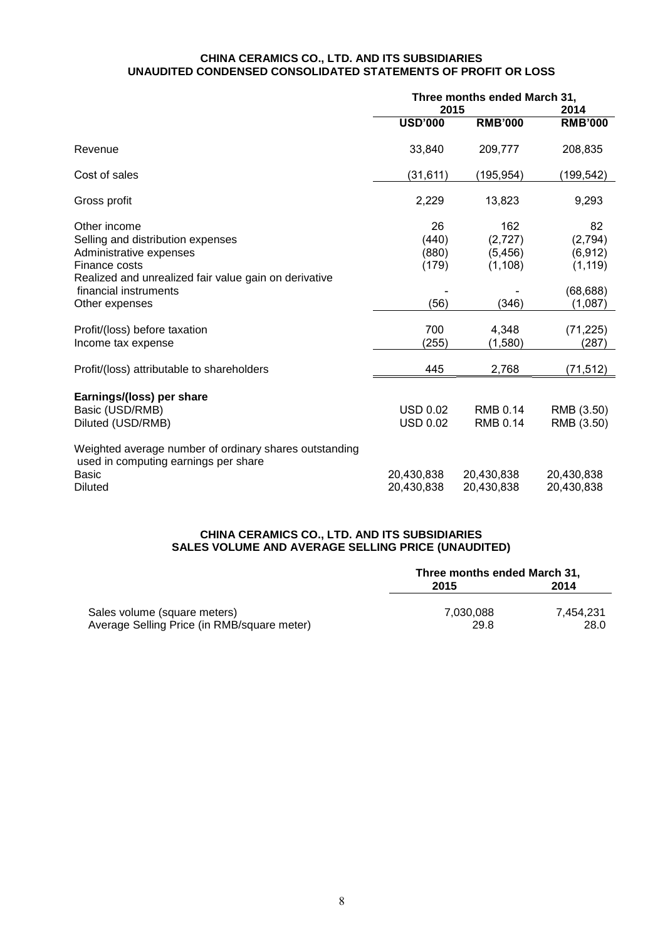#### **CHINA CERAMICS CO., LTD. AND ITS SUBSIDIARIES UNAUDITED CONDENSED CONSOLIDATED STATEMENTS OF PROFIT OR LOSS**

|                                                                                                                           | Three months ended March 31,<br>2015 |                                         | 2014                                  |
|---------------------------------------------------------------------------------------------------------------------------|--------------------------------------|-----------------------------------------|---------------------------------------|
|                                                                                                                           | <b>USD'000</b>                       | <b>RMB'000</b>                          | <b>RMB'000</b>                        |
| Revenue                                                                                                                   | 33,840                               | 209,777                                 | 208,835                               |
| Cost of sales                                                                                                             | (31, 611)                            | (195, 954)                              | (199, 542)                            |
| Gross profit                                                                                                              | 2,229                                | 13,823                                  | 9,293                                 |
| Other income<br>Selling and distribution expenses<br>Administrative expenses<br>Finance costs                             | 26<br>(440)<br>(880)<br>(179)        | 162<br>(2, 727)<br>(5, 456)<br>(1, 108) | 82<br>(2,794)<br>(6, 912)<br>(1, 119) |
| Realized and unrealized fair value gain on derivative<br>financial instruments<br>Other expenses                          | (56)                                 | (346)                                   | (68, 688)<br>(1,087)                  |
| Profit/(loss) before taxation<br>Income tax expense                                                                       | 700<br>(255)                         | 4,348<br>(1,580)                        | (71, 225)<br>(287)                    |
| Profit/(loss) attributable to shareholders                                                                                | 445                                  | 2,768                                   | (71, 512)                             |
| Earnings/(loss) per share<br>Basic (USD/RMB)<br>Diluted (USD/RMB)                                                         | <b>USD 0.02</b><br><b>USD 0.02</b>   | <b>RMB 0.14</b><br><b>RMB 0.14</b>      | RMB (3.50)<br>RMB (3.50)              |
| Weighted average number of ordinary shares outstanding<br>used in computing earnings per share<br>Basic<br><b>Diluted</b> | 20,430,838<br>20,430,838             | 20,430,838<br>20,430,838                | 20,430,838<br>20,430,838              |

## **CHINA CERAMICS CO., LTD. AND ITS SUBSIDIARIES SALES VOLUME AND AVERAGE SELLING PRICE (UNAUDITED)**

|                                             | Three months ended March 31, |           |  |
|---------------------------------------------|------------------------------|-----------|--|
|                                             | 2015                         | 2014      |  |
| Sales volume (square meters)                | 7.030.088                    | 7.454.231 |  |
| Average Selling Price (in RMB/square meter) | 29.8                         | 28.0      |  |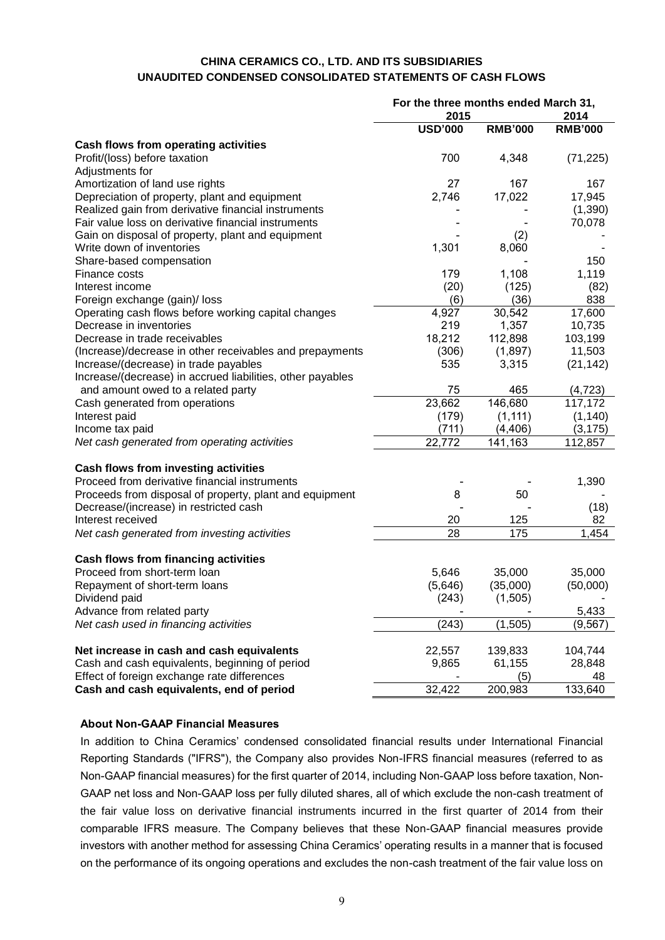## **CHINA CERAMICS CO., LTD. AND ITS SUBSIDIARIES UNAUDITED CONDENSED CONSOLIDATED STATEMENTS OF CASH FLOWS**

|                                                            | For the three months ended March 31, |                |                |
|------------------------------------------------------------|--------------------------------------|----------------|----------------|
|                                                            | 2015                                 |                | 2014           |
|                                                            | <b>USD'000</b>                       | <b>RMB'000</b> | <b>RMB'000</b> |
| <b>Cash flows from operating activities</b>                |                                      |                |                |
| Profit/(loss) before taxation                              | 700                                  | 4,348          | (71, 225)      |
| Adjustments for                                            |                                      |                |                |
| Amortization of land use rights                            | 27                                   | 167            | 167            |
| Depreciation of property, plant and equipment              | 2,746                                | 17,022         | 17,945         |
| Realized gain from derivative financial instruments        |                                      |                | (1,390)        |
| Fair value loss on derivative financial instruments        |                                      |                | 70,078         |
| Gain on disposal of property, plant and equipment          |                                      | (2)            |                |
| Write down of inventories                                  | 1,301                                | 8,060          |                |
| Share-based compensation                                   |                                      |                | 150            |
| Finance costs                                              | 179                                  | 1,108          | 1,119          |
| Interest income                                            | (20)                                 | (125)          | (82)           |
| Foreign exchange (gain)/ loss                              | (6)                                  | (36)           | 838            |
| Operating cash flows before working capital changes        | 4,927                                | 30,542         | 17,600         |
| Decrease in inventories                                    | 219                                  | 1,357          | 10,735         |
| Decrease in trade receivables                              | 18,212                               | 112,898        | 103,199        |
| (Increase)/decrease in other receivables and prepayments   | (306)                                | (1,897)        | 11,503         |
| Increase/(decrease) in trade payables                      | 535                                  | 3,315          | (21, 142)      |
| Increase/(decrease) in accrued liabilities, other payables |                                      |                |                |
| and amount owed to a related party                         | 75                                   | 465            | (4, 723)       |
| Cash generated from operations                             | 23,662                               | 146,680        | 117,172        |
| Interest paid                                              | (179)                                | (1, 111)       | (1, 140)       |
| Income tax paid                                            | (711)                                | (4, 406)       | (3, 175)       |
| Net cash generated from operating activities               | 22,772                               | 141,163        | 112,857        |
|                                                            |                                      |                |                |
| Cash flows from investing activities                       |                                      |                |                |
| Proceed from derivative financial instruments              |                                      |                | 1,390          |
| Proceeds from disposal of property, plant and equipment    | 8                                    | 50             |                |
| Decrease/(increase) in restricted cash                     |                                      |                | (18)           |
| Interest received                                          | 20                                   | 125            | 82             |
| Net cash generated from investing activities               | 28                                   | 175            | 1,454          |
| <b>Cash flows from financing activities</b>                |                                      |                |                |
| Proceed from short-term loan                               | 5,646                                | 35,000         | 35,000         |
| Repayment of short-term loans                              | (5,646)                              | (35,000)       | (50,000)       |
| Dividend paid                                              | (243)                                | (1, 505)       |                |
| Advance from related party                                 |                                      |                | 5,433          |
| Net cash used in financing activities                      | (243)                                | (1, 505)       | (9, 567)       |
|                                                            |                                      |                |                |
| Net increase in cash and cash equivalents                  | 22,557                               | 139,833        | 104,744        |
| Cash and cash equivalents, beginning of period             | 9,865                                | 61,155         | 28,848         |
| Effect of foreign exchange rate differences                |                                      | (5)            | 48             |
| Cash and cash equivalents, end of period                   | 32,422                               | 200,983        | 133,640        |

## **About Non-GAAP Financial Measures**

In addition to China Ceramics' condensed consolidated financial results under International Financial Reporting Standards ("IFRS"), the Company also provides Non-IFRS financial measures (referred to as Non-GAAP financial measures) for the first quarter of 2014, including Non-GAAP loss before taxation, Non-GAAP net loss and Non-GAAP loss per fully diluted shares, all of which exclude the non-cash treatment of the fair value loss on derivative financial instruments incurred in the first quarter of 2014 from their comparable IFRS measure. The Company believes that these Non-GAAP financial measures provide investors with another method for assessing China Ceramics' operating results in a manner that is focused on the performance of its ongoing operations and excludes the non-cash treatment of the fair value loss on